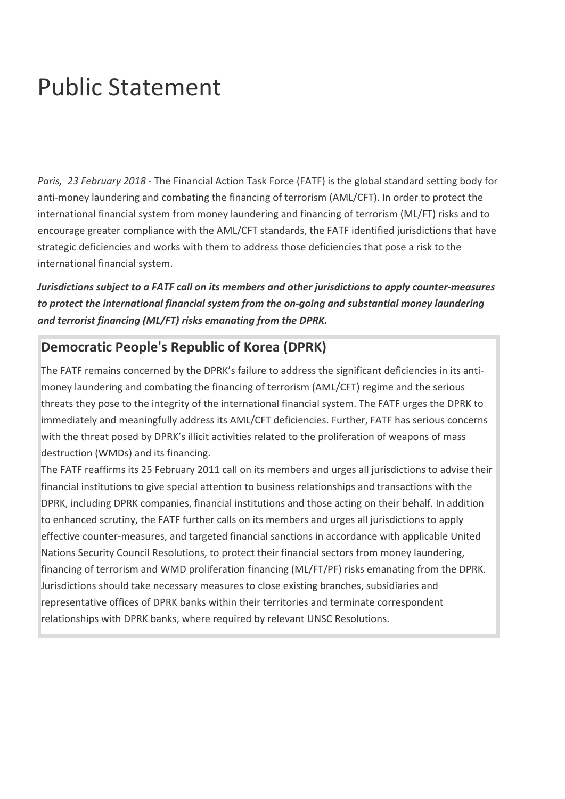## Public Statement

*Paris, 23 February 2018 -* The Financial Action Task Force (FATF) is the global standard setting body for anti-money laundering and combating the financing of terrorism (AML/CFT). In order to protect the international financial system from money laundering and financing of terrorism (ML/FT) risks and to encourage greater compliance with the AML/CFT standards, the FATF identified jurisdictions that have strategic deficiencies and works with them to address those deficiencies that pose a risk to the international financial system.

*Jurisdictions subject to a FATF call on its members and other jurisdictions to apply counter-measures to protect the international financial system from the on-going and substantial money laundering and terrorist financing (ML/FT) risks emanating from the DPRK.*

## **Democratic People's Republic of Korea (DPRK)**

The FATF remains concerned by the DPRK's failure to address the significant deficiencies in its antimoney laundering and combating the financing of terrorism (AML/CFT) regime and the serious threats they pose to the integrity of the international financial system. The FATF urges the DPRK to immediately and meaningfully address its AML/CFT deficiencies. Further, FATF has serious concerns with the threat posed by DPRK's illicit activities related to the proliferation of weapons of mass destruction (WMDs) and its financing.

The FATF reaffirms its 25 February 2011 call on its members and urges all jurisdictions to advise their financial institutions to give special attention to business relationships and transactions with the DPRK, including DPRK companies, financial institutions and those acting on their behalf. In addition to enhanced scrutiny, the FATF further calls on its members and urges all jurisdictions to apply effective counter-measures, and targeted financial sanctions in accordance with applicable United Nations Security Council Resolutions, to protect their financial sectors from money laundering, financing of terrorism and WMD proliferation financing (ML/FT/PF) risks emanating from the DPRK. Jurisdictions should take necessary measures to close existing branches, subsidiaries and representative offices of DPRK banks within their territories and terminate correspondent relationships with DPRK banks, where required by relevant UNSC Resolutions.